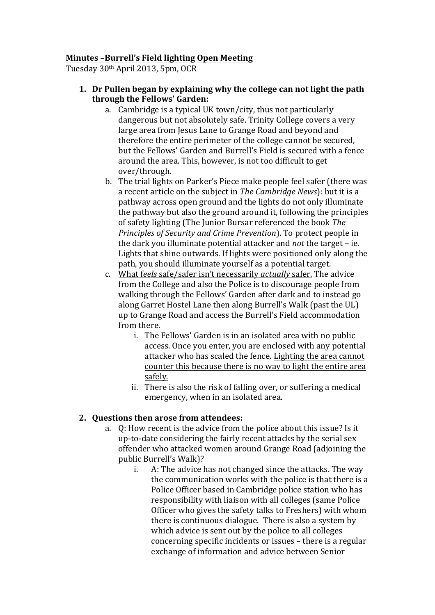## **Minutes –Burrell's Field lighting Open Meeting**

Tuesday 30<sup>th</sup> April 2013, 5pm, OCR

- **1.** Dr Pullen began by explaining why the college can not light the path **through the Fellows' Garden:**
	- a. Cambridge is a typical UK town/city, thus not particularly dangerous but not absolutely safe. Trinity College covers a very large area from Jesus Lane to Grange Road and beyond and therefore the entire perimeter of the college cannot be secured, but the Fellows' Garden and Burrell's Field is secured with a fence around the area. This, however, is not too difficult to get over/through.
	- b. The trial lights on Parker's Piece make people feel safer (there was a recent article on the subject in *The Cambridge News*): but it is a pathway across open ground and the lights do not only illuminate the pathway but also the ground around it, following the principles of safety lighting (The Junior Bursar referenced the book The *Principles of Security and Crime Prevention*). To protect people in the dark you illuminate potential attacker and *not* the target – ie. Lights that shine outwards. If lights were positioned only along the path, you should illuminate yourself as a potential target.
	- c. What feels safe/safer isn't necessarily *actually* safer. The advice from the College and also the Police is to discourage people from walking through the Fellows' Garden after dark and to instead go along Garret Hostel Lane then along Burrell's Walk (past the UL) up to Grange Road and access the Burrell's Field accommodation from there
		- i. The Fellows' Garden is in an isolated area with no public access. Once you enter, you are enclosed with any potential attacker who has scaled the fence. Lighting the area cannot counter this because there is no way to light the entire area safely.
		- ii. There is also the risk of falling over, or suffering a medical emergency, when in an isolated area.

## **2. Questions then arose from attendees:**

- a. O: How recent is the advice from the police about this issue? Is it up-to-date considering the fairly recent attacks by the serial sex offender who attacked women around Grange Road (adjoining the public Burrell's Walk)?
	- i. A: The advice has not changed since the attacks. The way the communication works with the police is that there is a Police Officer based in Cambridge police station who has responsibility with liaison with all colleges (same Police Officer who gives the safety talks to Freshers) with whom there is continuous dialogue. There is also a system by which advice is sent out by the police to all colleges concerning specific incidents or issues – there is a regular exchange of information and advice between Senior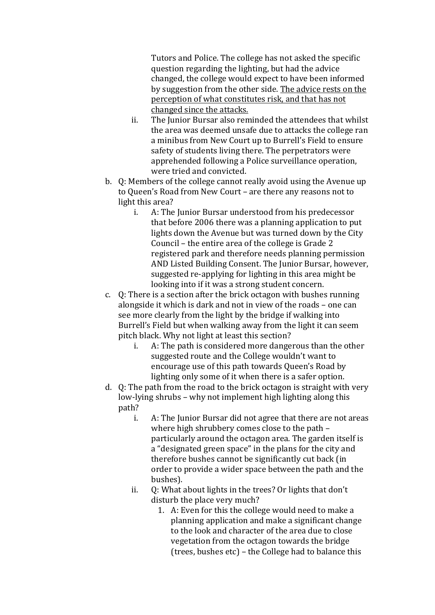Tutors and Police. The college has not asked the specific question regarding the lighting, but had the advice changed, the college would expect to have been informed by suggestion from the other side. The advice rests on the perception of what constitutes risk, and that has not changed since the attacks.

- ii. The Junior Bursar also reminded the attendees that whilst the area was deemed unsafe due to attacks the college ran a minibus from New Court up to Burrell's Field to ensure safety of students living there. The perpetrators were apprehended following a Police surveillance operation, were tried and convicted.
- b. Q: Members of the college cannot really avoid using the Avenue up to Queen's Road from New Court - are there any reasons not to light this area?
	- i. A: The Junior Bursar understood from his predecessor that before 2006 there was a planning application to put lights down the Avenue but was turned down by the City Council – the entire area of the college is Grade 2 registered park and therefore needs planning permission AND Listed Building Consent. The Junior Bursar, however, suggested re-applying for lighting in this area might be looking into if it was a strong student concern.
- c.  $Q:$  There is a section after the brick octagon with bushes running alongside it which is dark and not in view of the roads  $-$  one can see more clearly from the light by the bridge if walking into Burrell's Field but when walking away from the light it can seem pitch black. Why not light at least this section?
	- i. A: The path is considered more dangerous than the other suggested route and the College wouldn't want to encourage use of this path towards Queen's Road by lighting only some of it when there is a safer option.
- d.  $Q$ : The path from the road to the brick octagon is straight with very low-lying shrubs – why not implement high lighting along this path?
	- i. A: The Junior Bursar did not agree that there are not areas where high shrubbery comes close to the path  $$ particularly around the octagon area. The garden itself is a "designated green space" in the plans for the city and therefore bushes cannot be significantly cut back (in order to provide a wider space between the path and the bushes).
	- ii.  $Q: What about lights in the trees? Or lights that don't$ disturb the place very much?
		- 1. A: Even for this the college would need to make a planning application and make a significant change to the look and character of the area due to close vegetation from the octagon towards the bridge (trees, bushes etc) – the College had to balance this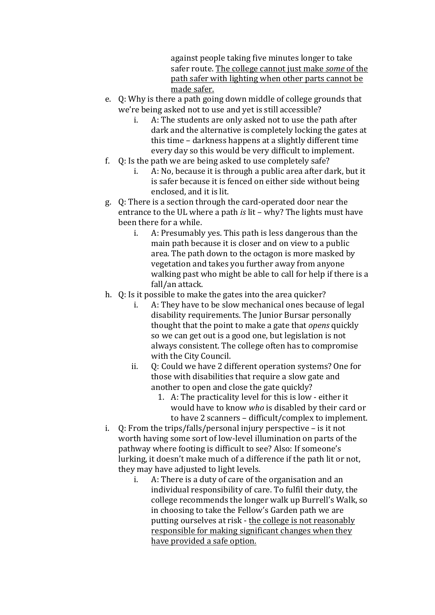against people taking five minutes longer to take safer route. The college cannot just make *some* of the path safer with lighting when other parts cannot be made safer.

- e. Q: Why is there a path going down middle of college grounds that we're being asked not to use and yet is still accessible?
	- i. A: The students are only asked not to use the path after dark and the alternative is completely locking the gates at this time - darkness happens at a slightly different time every day so this would be very difficult to implement.
- f.  $Q$ : Is the path we are being asked to use completely safe?
	- i. A: No, because it is through a public area after dark, but it is safer because it is fenced on either side without being enclosed, and it is lit.
- g. Q: There is a section through the card-operated door near the entrance to the UL where a path *is* lit – why? The lights must have been there for a while.
	- i. A: Presumably yes. This path is less dangerous than the main path because it is closer and on view to a public area. The path down to the octagon is more masked by vegetation and takes you further away from anyone walking past who might be able to call for help if there is a fall/an attack.
- h. O: Is it possible to make the gates into the area quicker?
	- i. A: They have to be slow mechanical ones because of legal disability requirements. The Junior Bursar personally thought that the point to make a gate that *opens* quickly so we can get out is a good one, but legislation is not always consistent. The college often has to compromise with the City Council.
	- ii. Q: Could we have 2 different operation systems? One for those with disabilities that require a slow gate and another to open and close the gate quickly?
		- 1. A: The practicality level for this is low either it would have to know *who* is disabled by their card or to have 2 scanners – difficult/complex to implement.
- i.  $Q:$  From the trips/falls/personal injury perspective  $-$  is it not worth having some sort of low-level illumination on parts of the pathway where footing is difficult to see? Also: If someone's lurking, it doesn't make much of a difference if the path lit or not, they may have adjusted to light levels.
	- i. A: There is a duty of care of the organisation and an individual responsibility of care. To fulfil their duty, the college recommends the longer walk up Burrell's Walk, so in choosing to take the Fellow's Garden path we are putting ourselves at risk - the college is not reasonably responsible for making significant changes when they have provided a safe option.